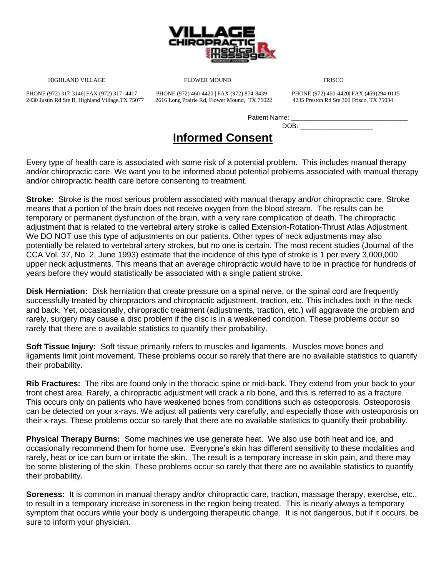

HIGHLAND VILLAGE FLOWER MOUND FRISCO

2430 Justin Rd Ste B, Highland Village,TX 75077 2616 Long Prairie Rd, Flower Mound, TX 75022 4235 Preston Rd Ste 300 Frisco, TX 75034

PHONE (972) 317-3146| FAX (972) 317- 4417 PHONE (972) 460-4420 | FAX (972) 874-8439 PHONE (972) 460-4420| FAX (469)294-0115

Patient Name: DOB:

## **Informed Consent**

Every type of health care is associated with some risk of a potential problem. This includes manual therapy and/or chiropractic care. We want you to be informed about potential problems associated with manual therapy and/or chiropractic health care before consenting to treatment.

**Stroke:** Stroke is the most serious problem associated with manual therapy and/or chiropractic care. Stroke means that a portion of the brain does not receive oxygen from the blood stream. The results can be temporary or permanent dysfunction of the brain, with a very rare complication of death. The chiropractic adjustment that is related to the vertebral artery stroke is called Extension-Rotation-Thrust Atlas Adjustment. We DO NOT use this type of adjustments on our patients. Other types of neck adjustments may also potentially be related to vertebral artery strokes, but no one is certain. The most recent studies (Journal of the CCA Vol. 37, No. 2, June 1993) estimate that the incidence of this type of stroke is 1 per every 3,000,000 upper neck adjustments. This means that an average chiropractic would have to be in practice for hundreds of years before they would statistically be associated with a single patient stroke.

**Disk Herniation:** Disk herniation that create pressure on a spinal nerve, or the spinal cord are frequently successfully treated by chiropractors and chiropractic adjustment, traction, etc. This includes both in the neck and back. Yet, occasionally, chiropractic treatment (adjustments, traction, etc.) will aggravate the problem and rarely, surgery may cause a disc problem if the disc is in a weakened condition. These problems occur so rarely that there are o available statistics to quantify their probability.

**Soft Tissue Injury:** Soft tissue primarily refers to muscles and ligaments. Muscles move bones and ligaments limit joint movement. These problems occur so rarely that there are no available statistics to quantify their probability.

**Rib Fractures:** The ribs are found only in the thoracic spine or mid-back. They extend from your back to your front chest area. Rarely, a chiropractic adjustment will crack a rib bone, and this is referred to as a fracture. This occurs only on patients who have weakened bones from conditions such as osteoporosis. Osteoporosis can be detected on your x-rays. We adjust all patients very carefully, and especially those with osteoporosis on their x-rays. These problems occur so rarely that there are no available statistics to quantify their probability.

**Physical Therapy Burns:** Some machines we use generate heat. We also use both heat and ice, and occasionally recommend them for home use. Everyone's skin has different sensitivity to these modalities and rarely, heat or ice can burn or irritate the skin. The result is a temporary increase in skin pain, and there may be some blistering of the skin. These problems occur so rarely that there are no available statistics to quantify their probability.

**Soreness:** It is common in manual therapy and/or chiropractic care, traction, massage therapy, exercise, etc., to result in a temporary increase in soreness in the region being treated. This is nearly always a temporary symptom that occurs while your body is undergoing therapeutic change. It is not dangerous, but if it occurs, be sure to inform your physician.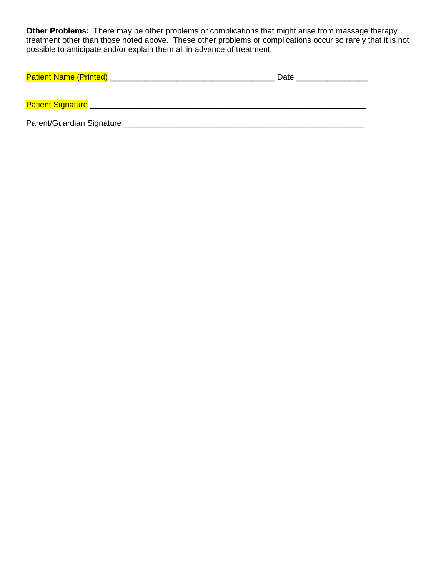**Other Problems:** There may be other problems or complications that might arise from massage therapy treatment other than those noted above. These other problems or complications occur so rarely that it is not possible to anticipate and/or explain them all in advance of treatment.

| $P = 1$<br>Patie<br>----<br>_<br>$ -$ |
|---------------------------------------|
|---------------------------------------|

Patient Signature \_\_\_\_\_\_\_\_\_\_\_\_\_\_\_\_\_\_\_\_\_\_\_\_\_\_\_\_\_\_\_\_\_\_\_\_\_\_\_\_\_\_\_\_\_\_\_\_\_\_\_\_\_\_\_\_\_\_\_\_\_\_

Parent/Guardian Signature \_\_\_\_\_\_\_\_\_\_\_\_\_\_\_\_\_\_\_\_\_\_\_\_\_\_\_\_\_\_\_\_\_\_\_\_\_\_\_\_\_\_\_\_\_\_\_\_\_\_\_\_\_\_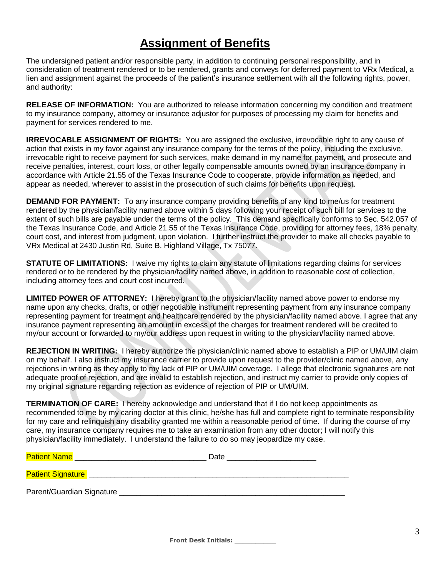# **Assignment of Benefits**

The undersigned patient and/or responsible party, in addition to continuing personal responsibility, and in consideration of treatment rendered or to be rendered, grants and conveys for deferred payment to VRx Medical, a lien and assignment against the proceeds of the patient's insurance settlement with all the following rights, power, and authority:

**RELEASE OF INFORMATION:** You are authorized to release information concerning my condition and treatment to my insurance company, attorney or insurance adjustor for purposes of processing my claim for benefits and payment for services rendered to me.

**IRREVOCABLE ASSIGNMENT OF RIGHTS:** You are assigned the exclusive, irrevocable right to any cause of action that exists in my favor against any insurance company for the terms of the policy, including the exclusive, irrevocable right to receive payment for such services, make demand in my name for payment, and prosecute and receive penalties, interest, court loss, or other legally compensable amounts owned by an insurance company in accordance with Article 21.55 of the Texas Insurance Code to cooperate, provide information as needed, and appear as needed, wherever to assist in the prosecution of such claims for benefits upon request.

**DEMAND FOR PAYMENT:** To any insurance company providing benefits of any kind to me/us for treatment rendered by the physician/facility named above within 5 days following your receipt of such bill for services to the extent of such bills are payable under the terms of the policy. This demand specifically conforms to Sec. 542.057 of the Texas Insurance Code, and Article 21.55 of the Texas Insurance Code, providing for attorney fees, 18% penalty, court cost, and interest from judgment, upon violation. I further instruct the provider to make all checks payable to VRx Medical at 2430 Justin Rd, Suite B, Highland Village, Tx 75077.

**STATUTE OF LIMITATIONS:** I waive my rights to claim any statute of limitations regarding claims for services rendered or to be rendered by the physician/facility named above, in addition to reasonable cost of collection, including attorney fees and court cost incurred.

**LIMITED POWER OF ATTORNEY:** I hereby grant to the physician/facility named above power to endorse my name upon any checks, drafts, or other negotiable instrument representing payment from any insurance company representing payment for treatment and healthcare rendered by the physician/facility named above. I agree that any insurance payment representing an amount in excess of the charges for treatment rendered will be credited to my/our account or forwarded to my/our address upon request in writing to the physician/facility named above.

**REJECTION IN WRITING:** I hereby authorize the physician/clinic named above to establish a PIP or UM/UIM claim on my behalf. I also instruct my insurance carrier to provide upon request to the provider/clinic named above, any rejections in writing as they apply to my lack of PIP or UM/UIM coverage. I allege that electronic signatures are not adequate proof of rejection, and are invalid to establish rejection, and instruct my carrier to provide only copies of my original signature regarding rejection as evidence of rejection of PIP or UM/UIM.

**TERMINATION OF CARE:** I hereby acknowledge and understand that if I do not keep appointments as recommended to me by my caring doctor at this clinic, he/she has full and complete right to terminate responsibility for my care and relinquish any disability granted me within a reasonable period of time. If during the course of my care, my insurance company requires me to take an examination from any other doctor; I will notify this physician/facility immediately. I understand the failure to do so may jeopardize my case.

| <b>Patient Name</b>       | Date |  |
|---------------------------|------|--|
| <b>Patient Signature</b>  |      |  |
| Parent/Guardian Signature |      |  |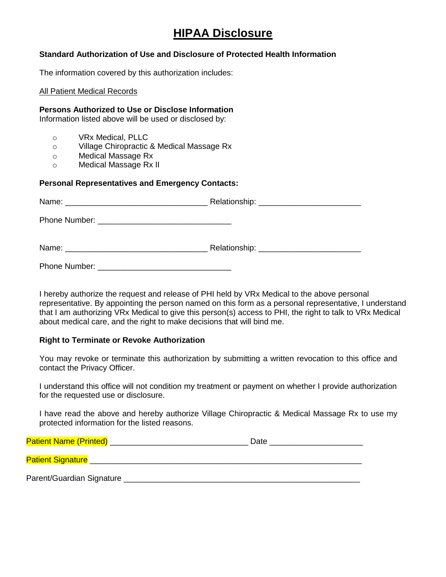# **HIPAA Disclosure**

### **Standard Authorization of Use and Disclosure of Protected Health Information**

The information covered by this authorization includes:

#### All Patient Medical Records

#### **Persons Authorized to Use or Disclose Information**

Information listed above will be used or disclosed by:

- o VRx Medical, PLLC
- o Village Chiropractic & Medical Massage Rx
- o Medical Massage Rx
- o Medical Massage Rx II

#### **Personal Representatives and Emergency Contacts:**

| Relationship: ______________________________ |  |
|----------------------------------------------|--|
|                                              |  |
|                                              |  |
|                                              |  |

I hereby authorize the request and release of PHI held by VRx Medical to the above personal representative. By appointing the person named on this form as a personal representative, I understand that I am authorizing VRx Medical to give this person(s) access to PHI, the right to talk to VRx Medical about medical care, and the right to make decisions that will bind me.

#### **Right to Terminate or Revoke Authorization**

 You may revoke or terminate this authorization by submitting a written revocation to this office and contact the Privacy Officer.

I understand this office will not condition my treatment or payment on whether I provide authorization for the requested use or disclosure.

I have read the above and hereby authorize Village Chiropractic & Medical Massage Rx to use my protected information for the listed reasons.

| <b>Patient Name (Printed)</b> | Date |  |
|-------------------------------|------|--|
| <b>Patient Signature</b>      |      |  |
| Parent/Guardian Signature     |      |  |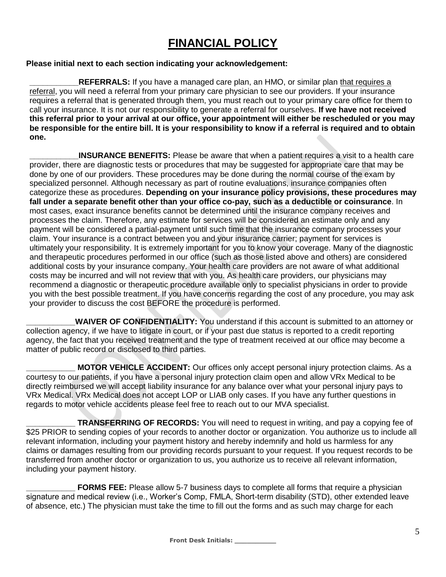# **FINANCIAL POLICY**

## **Please initial next to each section indicating your acknowledgement:**

**REFERRALS:** If you have a managed care plan, an HMO, or similar plan that requires a referral, you will need a referral from your primary care physician to see our providers. If your insurance requires a referral that is generated through them, you must reach out to your primary care office for them to call your insurance. It is not our responsibility to generate a referral for ourselves. **If we have not received this referral prior to your arrival at our office, your appointment will either be rescheduled or you may be responsible for the entire bill. It is your responsibility to know if a referral is required and to obtain one.**

**INSURANCE BENEFITS:** Please be aware that when a patient requires a visit to a health care provider, there are diagnostic tests or procedures that may be suggested for appropriate care that may be done by one of our providers. These procedures may be done during the normal course of the exam by specialized personnel. Although necessary as part of routine evaluations, insurance companies often categorize these as procedures. **Depending on your insurance policy provisions, these procedures may fall under a separate benefit other than your office co-pay, such as a deductible or coinsurance**. In most cases, exact insurance benefits cannot be determined until the insurance company receives and processes the claim. Therefore, any estimate for services will be considered an estimate only and any payment will be considered a partial-payment until such time that the insurance company processes your claim. Your insurance is a contract between you and your insurance carrier; payment for services is ultimately your responsibility. It is extremely important for you to know your coverage. Many of the diagnostic and therapeutic procedures performed in our office (such as those listed above and others) are considered additional costs by your insurance company. Your health care providers are not aware of what additional costs may be incurred and will not review that with you. As health care providers, our physicians may recommend a diagnostic or therapeutic procedure available only to specialist physicians in order to provide you with the best possible treatment. If you have concerns regarding the cost of any procedure, you may ask your provider to discuss the cost BEFORE the procedure is performed.

WAIVER OF CONFIDENTIALITY: You understand if this account is submitted to an attorney or collection agency, if we have to litigate in court, or if your past due status is reported to a credit reporting agency, the fact that you received treatment and the type of treatment received at our office may become a matter of public record or disclosed to third parties.

**MOTOR VEHICLE ACCIDENT:** Our offices only accept personal injury protection claims. As a courtesy to our patients, if you have a personal injury protection claim open and allow VRx Medical to be directly reimbursed we will accept liability insurance for any balance over what your personal injury pays to VRx Medical. VRx Medical does not accept LOP or LIAB only cases. If you have any further questions in regards to motor vehicle accidents please feel free to reach out to our MVA specialist.

**TRANSFERRING OF RECORDS:** You will need to request in writing, and pay a copying fee of \$25 PRIOR to sending copies of your records to another doctor or organization. You authorize us to include all relevant information, including your payment history and hereby indemnify and hold us harmless for any claims or damages resulting from our providing records pursuant to your request. If you request records to be transferred from another doctor or organization to us, you authorize us to receive all relevant information, including your payment history.

**FORMS FEE:** Please allow 5-7 business days to complete all forms that require a physician signature and medical review (i.e., Worker's Comp, FMLA, Short-term disability (STD), other extended leave of absence, etc.) The physician must take the time to fill out the forms and as such may charge for each